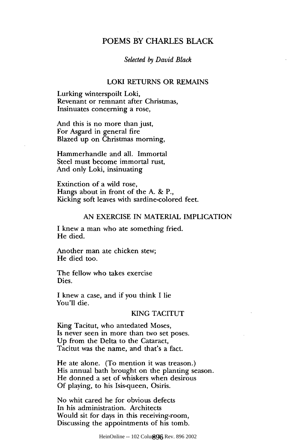# POEMS BY CHARLES BLACK

#### *Selected by David Black*

#### LOKI RETURNS OR REMAINS

Lurking winterspoilt Loki, Revenant or remnant after Christmas, Insinuates concerning a rose,

And this is no more than just, For Asgard in general fire Blazed up on Christmas morning,

Hammerhandle and all. Immortal Steel must become immortal rust, And only Loki, insinuating

Extinction of a wild rose, Hangs about in front of the A. & P., Kicking soft leaves with sardine-colored feet.

### AN EXERCISE IN MATERIAL IMPLICATION

I knew a man who ate something fried. He died.

Another man ate chicken stew; He died too.

The fellow who takes exercise Dies.

I knew a case, and if you think I lie You'll die.

### KING TACITUT

King Tacitut, who antedated Moses, Is never seen in more than two set poses. Up from the Delta to the Cataract, Tacitut was the name, and that's a fact.

He ate alone. (To mention it was treason.) His annual bath brought on the planting season. He donned a set of whiskers when desirous Of playing, to his Isis-queen, Osiris.

No whit cared he for obvious defects In his administration. Architects Would sit for days in this receiving-room, Discussing the appointments of his tomb.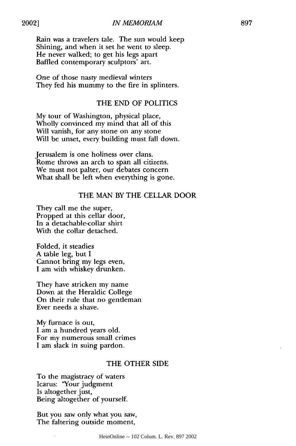2002]

Rain was a travelers tale. The sun would keep Shining, and when it set he went to sleep. He never walked; to get his legs apart Baffled contemporary sculptors' art.

One of those nasty medieval winters They fed his mummy to the fire in splinters.

## THE END OF POLITICS

My tour of Washington, physical place, Wholly convinced my mind that all of this Will vanish, for any stone on any stone Will be unset, every building must fall down.

Jerusalem is one holiness over clans. Rome throws an arch to span all citizens. We must not palter, our debates concern What shall be left when everything is gone.

## THE MAN BY THE CELLAR DOOR

They call me the super, Propped at this cellar door, In a detachable-collar shirt With the collar detached.

Folded, it steadies A table leg, but I Cannot bring my legs even, I am with whiskey drunken.

They have stricken my name Down at the Heraldic College On their rule that no gentleman Ever needs a shave.

My furnace is out, I am a hundred years old. For my numerous small crimes I am slack in suing pardon.

### THE OTHER SIDE

To the magistracy of waters Icarus: "Your judgment Is altogether just, Being altogether of yourself.

But you saw only what you saw, The faltering outside moment,